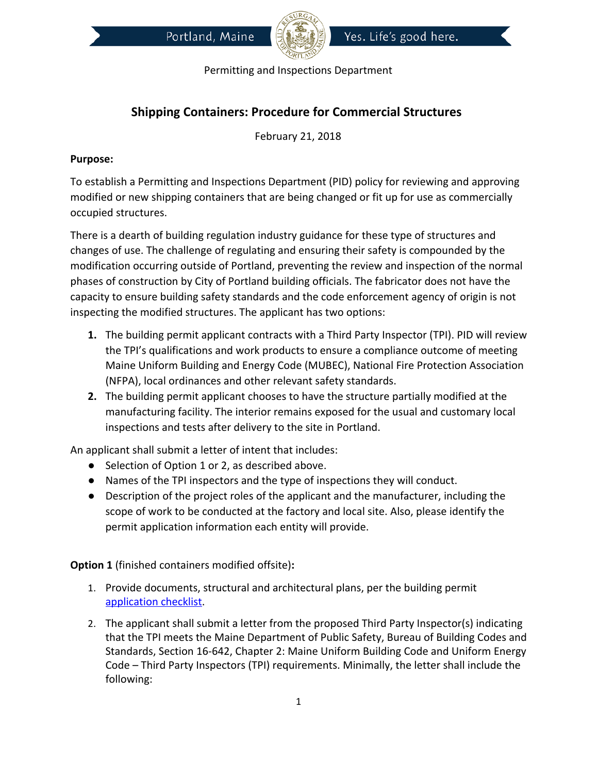



## **Shipping Containers: Procedure for Commercial Structures**

February 21, 2018

## **Purpose:**

To establish a Permitting and Inspections Department (PID) policy for reviewing and approving modified or new shipping containers that are being changed or fit up for use as commercially occupied structures.

There is a dearth of building regulation industry guidance for these type of structures and changes of use. The challenge of regulating and ensuring their safety is compounded by the modification occurring outside of Portland, preventing the review and inspection of the normal phases of construction by City of Portland building officials. The fabricator does not have the capacity to ensure building safety standards and the code enforcement agency of origin is not inspecting the modified structures. The applicant has two options:

- **1.** The building permit applicant contracts with a Third Party Inspector (TPI). PID will review the TPI's qualifications and work products to ensure a compliance outcome of meeting Maine Uniform Building and Energy Code (MUBEC), National Fire Protection Association (NFPA), local ordinances and other relevant safety standards.
- **2.** The building permit applicant chooses to have the structure partially modified at the manufacturing facility. The interior remains exposed for the usual and customary local inspections and tests after delivery to the site in Portland.

An applicant shall submit a letter of intent that includes:

- Selection of Option 1 or 2, as described above.
- Names of the TPI inspectors and the type of inspections they will conduct.
- Description of the project roles of the applicant and the manufacturer, including the scope of work to be conducted at the factory and local site. Also, please identify the permit application information each entity will provide.

**Option 1** (finished containers modified offsite)**:** 

- 1. Provide documents, structural and architectural plans, per the building permit [application checklist.](http://www.portlandmaine.gov/DocumentCenter/Home/View/2301)
- 2. The applicant shall submit a letter from the proposed Third Party Inspector(s) indicating that the TPI meets the Maine Department of Public Safety, Bureau of Building Codes and Standards, Section 16-642, Chapter 2: Maine Uniform Building Code and Uniform Energy Code – Third Party Inspectors (TPI) requirements. Minimally, the letter shall include the following: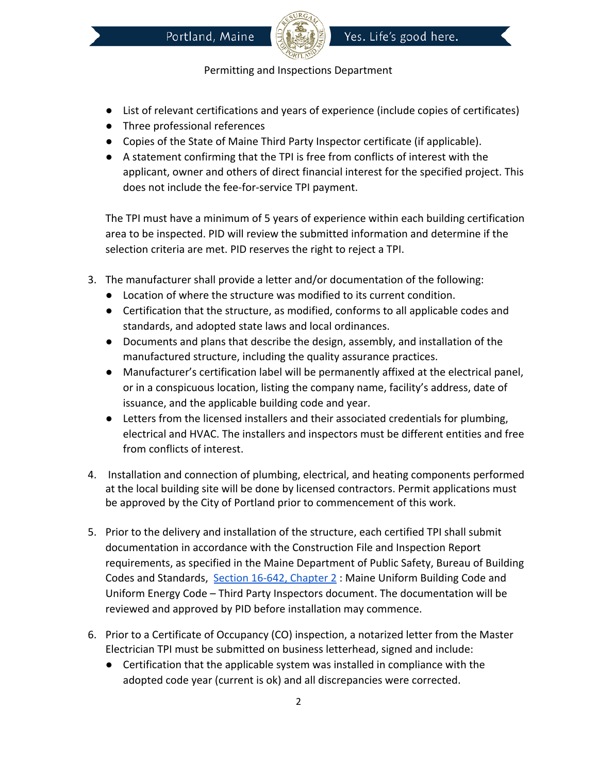



- List of relevant certifications and years of experience (include copies of certificates)
- Three professional references
- Copies of the State of Maine Third Party Inspector certificate (if applicable).
- A statement confirming that the TPI is free from conflicts of interest with the applicant, owner and others of direct financial interest for the specified project. This does not include the fee-for-service TPI payment.

The TPI must have a minimum of 5 years of experience within each building certification area to be inspected. PID will review the submitted information and determine if the selection criteria are met. PID reserves the right to reject a TPI.

- 3. The manufacturer shall provide a letter and/or documentation of the following:
	- Location of where the structure was modified to its current condition.
	- Certification that the structure, as modified, conforms to all applicable codes and standards, and adopted state laws and local ordinances.
	- Documents and plans that describe the design, assembly, and installation of the manufactured structure, including the quality assurance practices.
	- Manufacturer's certification label will be permanently affixed at the electrical panel, or in a conspicuous location, listing the company name, facility's address, date of issuance, and the applicable building code and year.
	- Letters from the licensed installers and their associated credentials for plumbing, electrical and HVAC. The installers and inspectors must be different entities and free from conflicts of interest.
- 4. Installation and connection of plumbing, electrical, and heating components performed at the local building site will be done by licensed contractors. Permit applications must be approved by the City of Portland prior to commencement of this work.
- 5. Prior to the delivery and installation of the structure, each certified TPI shall submit documentation in accordance with the Construction File and Inspection Report requirements, as specified in the Maine Department of Public Safety, Bureau of Building Codes and Standards, Section 16-642, Chapter 2: Maine Uniform Building Code and Uniform Energy Code – Third Party Inspectors document. The documentation will be reviewed and approved by PID before installation may commence.
- 6. Prior to a Certificate of Occupancy (CO) inspection, a notarized letter from the Master Electrician TPI must be submitted on business letterhead, signed and include:
	- Certification that the applicable system was installed in compliance with the adopted code year (current is ok) and all discrepancies were corrected.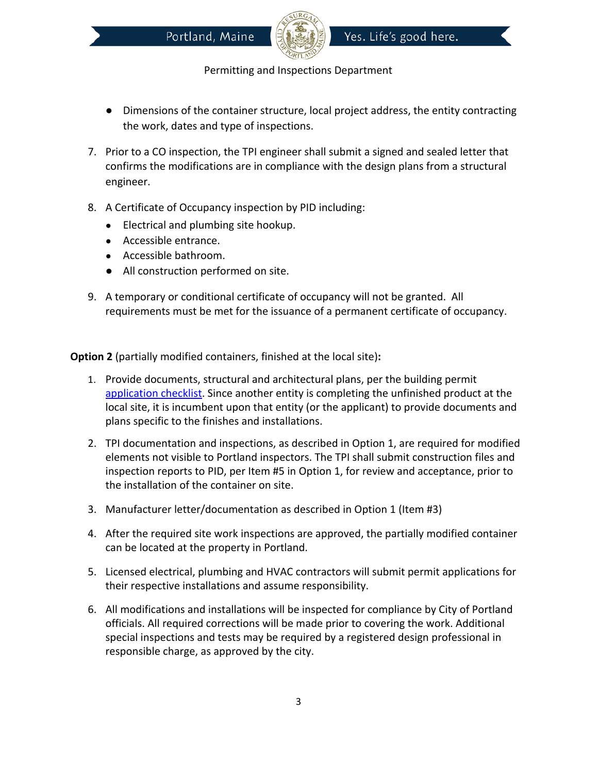

- Dimensions of the container structure, local project address, the entity contracting the work, dates and type of inspections.
- 7. Prior to a CO inspection, the TPI engineer shall submit a signed and sealed letter that confirms the modifications are in compliance with the design plans from a structural engineer.
- 8. A Certificate of Occupancy inspection by PID including:
	- Electrical and plumbing site hookup.
	- Accessible entrance.
	- Accessible bathroom.
	- All construction performed on site.
- 9. A temporary or conditional certificate of occupancy will not be granted. All requirements must be met for the issuance of a permanent certificate of occupancy.

**Option 2** (partially modified containers, finished at the local site)**:** 

- 1. Provide documents, structural and architectural plans, per the building permit [application checklist.](http://www.portlandmaine.gov/DocumentCenter/Home/View/2301) Since another entity is completing the unfinished product at the local site, it is incumbent upon that entity (or the applicant) to provide documents and plans specific to the finishes and installations.
- 2. TPI documentation and inspections, as described in Option 1, are required for modified elements not visible to Portland inspectors. The TPI shall submit construction files and inspection reports to PID, per Item #5 in Option 1, for review and acceptance, prior to the installation of the container on site.
- 3. Manufacturer letter/documentation as described in Option 1 (Item #3)
- 4. After the required site work inspections are approved, the partially modified container can be located at the property in Portland.
- 5. Licensed electrical, plumbing and HVAC contractors will submit permit applications for their respective installations and assume responsibility.
- 6. All modifications and installations will be inspected for compliance by City of Portland officials. All required corrections will be made prior to covering the work. Additional special inspections and tests may be required by a registered design professional in responsible charge, as approved by the city.